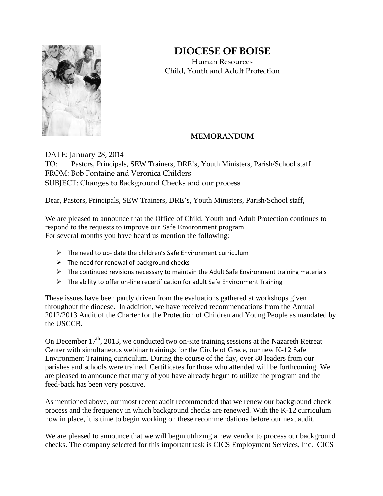## **DIOCESE OF BOISE**



Human Resources Child, Youth and Adult Protection

## **MEMORANDUM**

DATE: January 28, 2014 TO: Pastors, Principals, SEW Trainers, DRE's, Youth Ministers, Parish/School staff FROM: Bob Fontaine and Veronica Childers SUBJECT: Changes to Background Checks and our process

Dear, Pastors, Principals, SEW Trainers, DRE's, Youth Ministers, Parish/School staff,

We are pleased to announce that the Office of Child, Youth and Adult Protection continues to respond to the requests to improve our Safe Environment program. For several months you have heard us mention the following:

- $\triangleright$  The need to up- date the children's Safe Environment curriculum
- $\triangleright$  The need for renewal of background checks
- $\triangleright$  The continued revisions necessary to maintain the Adult Safe Environment training materials
- The ability to offer on‐line recertification for adult Safe Environment Training

These issues have been partly driven from the evaluations gathered at workshops given throughout the diocese. In addition, we have received recommendations from the Annual 2012/2013 Audit of the Charter for the Protection of Children and Young People as mandated by the USCCB.

On December 17<sup>th</sup>, 2013, we conducted two on-site training sessions at the Nazareth Retreat Center with simultaneous webinar trainings for the Circle of Grace, our new K-12 Safe Environment Training curriculum. During the course of the day, over 80 leaders from our parishes and schools were trained. Certificates for those who attended will be forthcoming. We are pleased to announce that many of you have already begun to utilize the program and the feed-back has been very positive.

As mentioned above, our most recent audit recommended that we renew our background check process and the frequency in which background checks are renewed. With the K-12 curriculum now in place, it is time to begin working on these recommendations before our next audit.

We are pleased to announce that we will begin utilizing a new vendor to process our background checks. The company selected for this important task is CICS Employment Services, Inc. CICS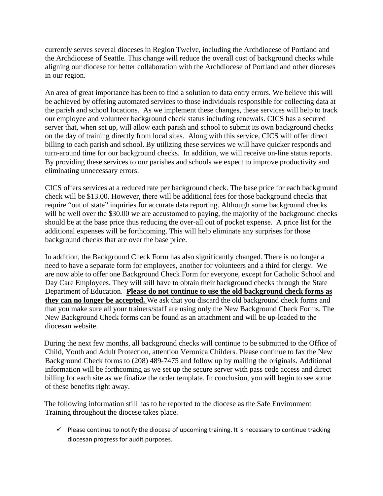currently serves several dioceses in Region Twelve, including the Archdiocese of Portland and the Archdiocese of Seattle. This change will reduce the overall cost of background checks while aligning our diocese for better collaboration with the Archdiocese of Portland and other dioceses in our region.

An area of great importance has been to find a solution to data entry errors. We believe this will be achieved by offering automated services to those individuals responsible for collecting data at the parish and school locations. As we implement these changes, these services will help to track our employee and volunteer background check status including renewals. CICS has a secured server that, when set up, will allow each parish and school to submit its own background checks on the day of training directly from local sites. Along with this service, CICS will offer direct billing to each parish and school. By utilizing these services we will have quicker responds and turn-around time for our background checks. In addition, we will receive on-line status reports. By providing these services to our parishes and schools we expect to improve productivity and eliminating unnecessary errors.

CICS offers services at a reduced rate per background check. The base price for each background check will be \$13.00. However, there will be additional fees for those background checks that require "out of state" inquiries for accurate data reporting. Although some background checks will be well over the \$30.00 we are accustomed to paying, the majority of the background checks should be at the base price thus reducing the over-all out of pocket expense. A price list for the additional expenses will be forthcoming. This will help eliminate any surprises for those background checks that are over the base price.

In addition, the Background Check Form has also significantly changed. There is no longer a need to have a separate form for employees, another for volunteers and a third for clergy. We are now able to offer one Background Check Form for everyone, except for Catholic School and Day Care Employees. They will still have to obtain their background checks through the State Department of Education. **Please do not continue to use the old background check forms as they can no longer be accepted.** We ask that you discard the old background check forms and that you make sure all your trainers/staff are using only the New Background Check Forms. The New Background Check forms can be found as an attachment and will be up-loaded to the diocesan website.

 During the next few months, all background checks will continue to be submitted to the Office of Child, Youth and Adult Protection, attention Veronica Childers. Please continue to fax the New Background Check forms to (208) 489-7475 and follow up by mailing the originals. Additional information will be forthcoming as we set up the secure server with pass code access and direct billing for each site as we finalize the order template. In conclusion, you will begin to see some of these benefits right away.

 The following information still has to be reported to the diocese as the Safe Environment Training throughout the diocese takes place.

 $\checkmark$  Please continue to notify the diocese of upcoming training. It is necessary to continue tracking diocesan progress for audit purposes.